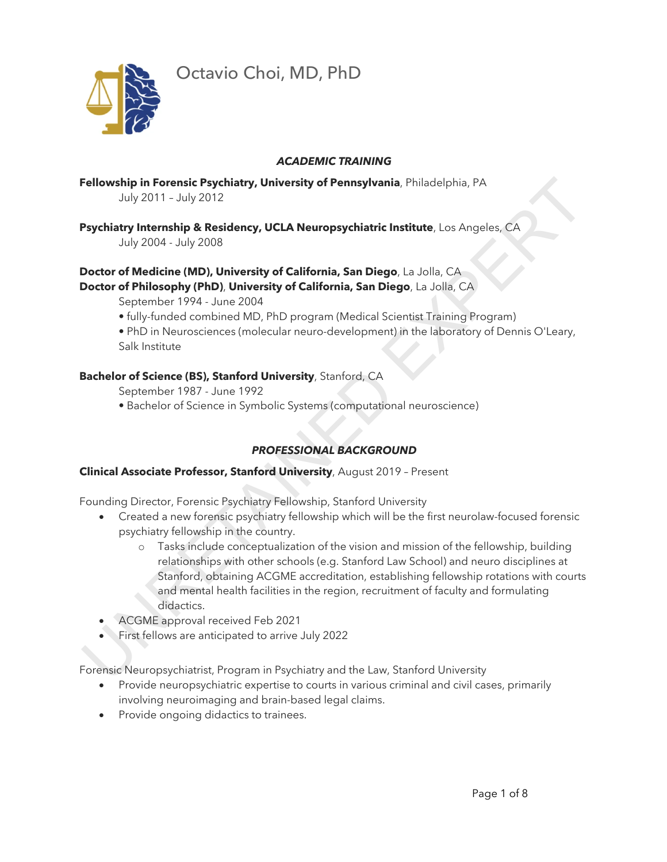

#### *ACADEMIC TRAINING*

**Fellowship in Forensic Psychiatry, University of Pennsylvania**, Philadelphia, PA July 2011 – July 2012

**Psychiatry Internship & Residency, UCLA Neuropsychiatric Institute**, Los Angeles, CA

July 2004 - July 2008

# **Doctor of Medicine (MD), University of California, San Diego**, La Jolla, CA **Doctor of Philosophy (PhD)**, **University of California, San Diego**, La Jolla, CA

September 1994 - June 2004

- fully-funded combined MD, PhD program (Medical Scientist Training Program)
- PhD in Neurosciences (molecular neuro-development) in the laboratory of Dennis O'Leary, Salk Institute

# **Bachelor of Science (BS), Stanford University**, Stanford, CA

- September 1987 June 1992
- Bachelor of Science in Symbolic Systems (computational neuroscience)

# *PROFESSIONAL BACKGROUND*

# **Clinical Associate Professor, Stanford University**, August 2019 – Present

Founding Director, Forensic Psychiatry Fellowship, Stanford University

- Created a new forensic psychiatry fellowship which will be the first neurolaw-focused forensic psychiatry fellowship in the country.
- o Tasks include conceptualization of the vision and mission of the fellowship, building relationships with other schools (e.g. Stanford Law School) and neuro disciplines at Stanford, obtaining ACGME accreditation, establishing fellowship rotations with courts and mental health facilities in the region, recruitment of faculty and formulating didactics. Fellowship in Forentic Psychiatry, University of Pennsylvania, Philadelphia, PA<br>
July 2011 - July 2012<br>
Psychiatry Internsitip & Residency, UCLA Neuropsychiatric Institute, Los Angeles, CA<br>
July 2004 - July 2006<br>
Doctor of
	- ACGME approval received Feb 2021
	- First fellows are anticipated to arrive July 2022

Forensic Neuropsychiatrist, Program in Psychiatry and the Law, Stanford University

- Provide neuropsychiatric expertise to courts in various criminal and civil cases, primarily involving neuroimaging and brain-based legal claims.
- Provide ongoing didactics to trainees.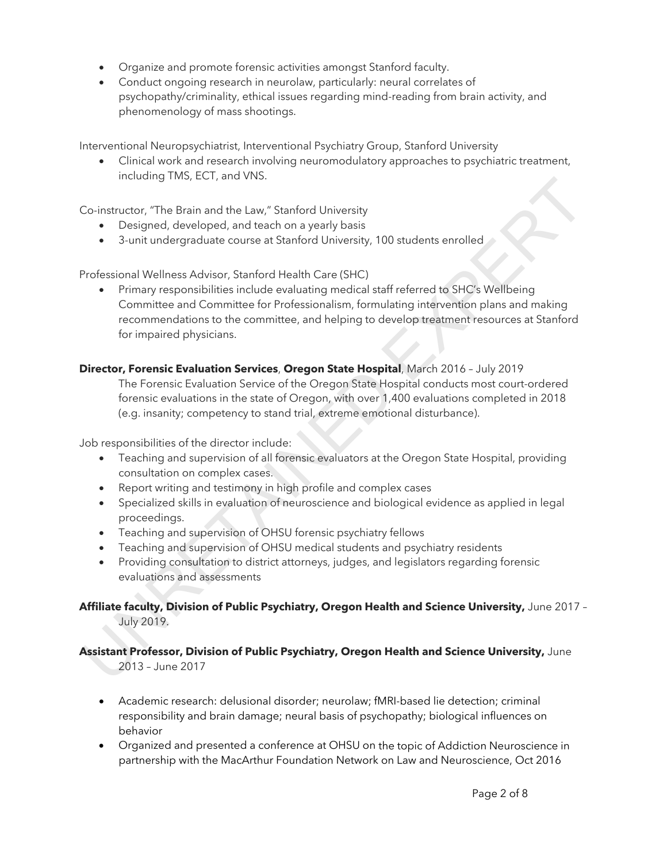- Organize and promote forensic activities amongst Stanford faculty.
- Conduct ongoing research in neurolaw, particularly: neural correlates of psychopathy/criminality, ethical issues regarding mind-reading from brain activity, and phenomenology of mass shootings.

Interventional Neuropsychiatrist, Interventional Psychiatry Group, Stanford University

• Clinical work and research involving neuromodulatory approaches to psychiatric treatment, including TMS, ECT, and VNS.

Co-instructor, "The Brain and the Law," Stanford University

- Designed, developed, and teach on a yearly basis
- 3-unit undergraduate course at Stanford University, 100 students enrolled

Professional Wellness Advisor, Stanford Health Care (SHC)

• Primary responsibilities include evaluating medical staff referred to SHC's Wellbeing Committee and Committee for Professionalism, formulating intervention plans and making recommendations to the committee, and helping to develop treatment resources at Stanford for impaired physicians. Constructor, The Brain and the Law," Stanford University<br>
• Designed, developed, and teach on a yearly basis<br>
• Designed, developed, and teach on a yearly basis<br>
• 3 unit undergraduate course at Stanford University, 100 st

#### **Director, Forensic Evaluation Services**, **Oregon State Hospital**, March 2016 – July 2019

The Forensic Evaluation Service of the Oregon State Hospital conducts most court-ordered forensic evaluations in the state of Oregon, with over 1,400 evaluations completed in 2018 (e.g. insanity; competency to stand trial, extreme emotional disturbance).

Job responsibilities of the director include:

- Teaching and supervision of all forensic evaluators at the Oregon State Hospital, providing consultation on complex cases.
- Report writing and testimony in high profile and complex cases
- Specialized skills in evaluation of neuroscience and biological evidence as applied in legal proceedings.
- Teaching and supervision of OHSU forensic psychiatry fellows
- Teaching and supervision of OHSU medical students and psychiatry residents
- Providing consultation to district attorneys, judges, and legislators regarding forensic evaluations and assessments

#### **Affiliate faculty, Division of Public Psychiatry, Oregon Health and Science University,** June 2017 – July 2019.

# **Assistant Professor, Division of Public Psychiatry, Oregon Health and Science University,** June

2013 – June 2017

- Academic research: delusional disorder; neurolaw; fMRI-based lie detection; criminal responsibility and brain damage; neural basis of psychopathy; biological influences on behavior
- Organized and presented a conference at OHSU on the topic of Addiction Neuroscience in partnership with the MacArthur Foundation Network on Law and Neuroscience, Oct 2016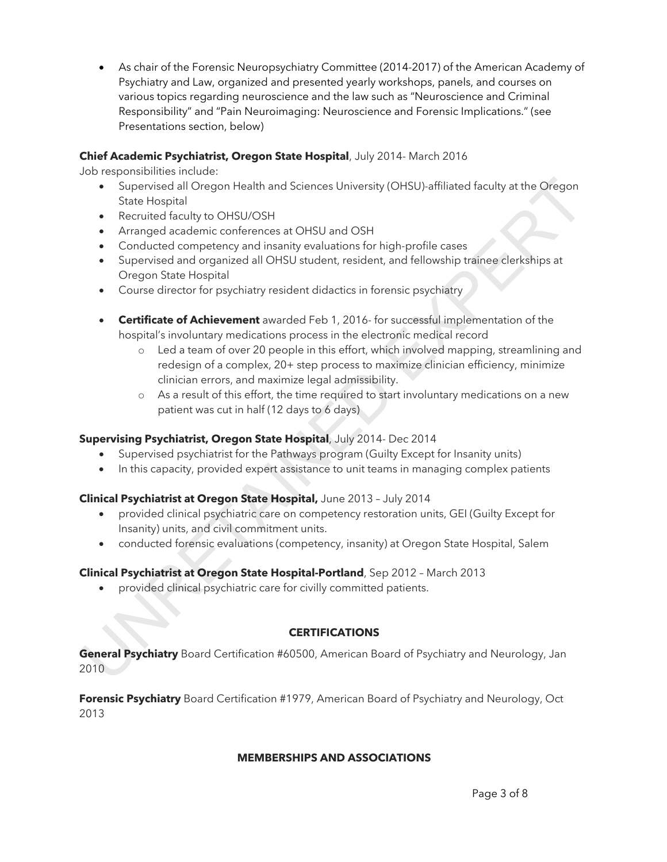• As chair of the Forensic Neuropsychiatry Committee (2014-2017) of the American Academy of Psychiatry and Law, organized and presented yearly workshops, panels, and courses on various topics regarding neuroscience and the law such as "Neuroscience and Criminal Responsibility" and "Pain Neuroimaging: Neuroscience and Forensic Implications." (see Presentations section, below)

## **Chief Academic Psychiatrist, Oregon State Hospital**, July 2014- March 2016

Job responsibilities include:

- Supervised all Oregon Health and Sciences University (OHSU)-affiliated faculty at the Oregon State Hospital
- Recruited faculty to OHSU/OSH
- Arranged academic conferences at OHSU and OSH
- Conducted competency and insanity evaluations for high-profile cases
- Supervised and organized all OHSU student, resident, and fellowship trainee clerkships at Oregon State Hospital
- Course director for psychiatry resident didactics in forensic psychiatry
- **Certificate of Achievement** awarded Feb 1, 2016- for successful implementation of the hospital's involuntary medications process in the electronic medical record
- o Led a team of over 20 people in this effort, which involved mapping, streamlining and redesign of a complex, 20+ step process to maximize clinician efficiency, minimize clinician errors, and maximize legal admissibility. • Supervised all Oregon Health and Sciences University (OHSU) affiliated foculty at the Oregon<br>
State Hospital CollSU/OSH<br>
• Recruited faculty to OHSU/OSH<br>
• Recruited faculty to OHSU/OSH<br>
• Conducted competers and meanin
	- o As a result of this effort, the time required to start involuntary medications on a new patient was cut in half (12 days to 6 days)

#### **Supervising Psychiatrist, Oregon State Hospital**, July 2014- Dec 2014

- Supervised psychiatrist for the Pathways program (Guilty Except for Insanity units)
- In this capacity, provided expert assistance to unit teams in managing complex patients

#### **Clinical Psychiatrist at Oregon State Hospital,** June 2013 – July 2014

- provided clinical psychiatric care on competency restoration units, GEI (Guilty Except for Insanity) units, and civil commitment units.
- conducted forensic evaluations (competency, insanity) at Oregon State Hospital, Salem

#### **Clinical Psychiatrist at Oregon State Hospital-Portland**, Sep 2012 – March 2013

• provided clinical psychiatric care for civilly committed patients.

#### **CERTIFICATIONS**

**General Psychiatry** Board Certification #60500, American Board of Psychiatry and Neurology, Jan 2010

**Forensic Psychiatry** Board Certification #1979, American Board of Psychiatry and Neurology, Oct 2013

#### **MEMBERSHIPS AND ASSOCIATIONS**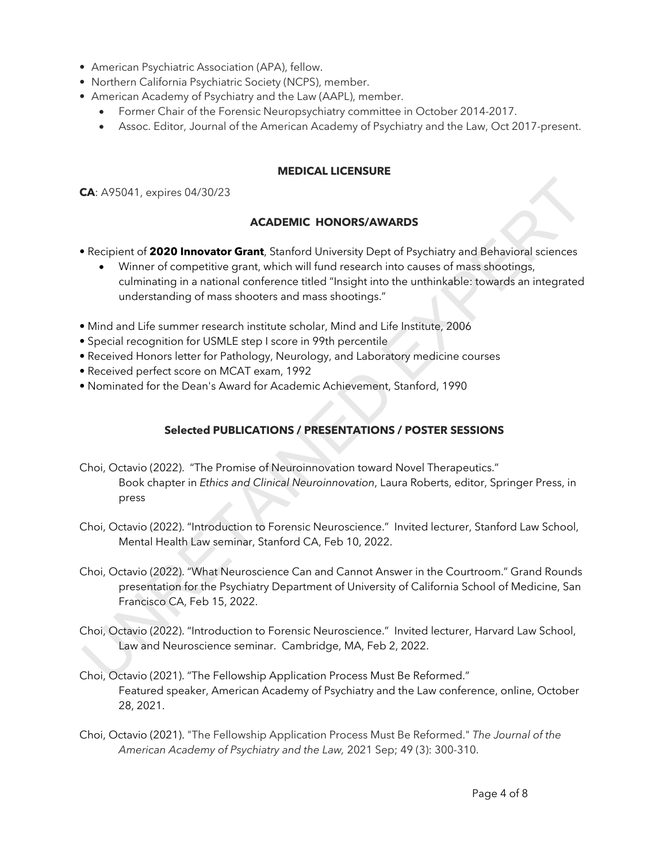- American Psychiatric Association (APA), fellow.
- Northern California Psychiatric Society (NCPS), member.
- American Academy of Psychiatry and the Law (AAPL), member.
	- Former Chair of the Forensic Neuropsychiatry committee in October 2014-2017.
	- Assoc. Editor, Journal of the American Academy of Psychiatry and the Law, Oct 2017-present.

#### **MEDICAL LICENSURE**

**CA**: A95041, expires 04/30/23

#### **ACADEMIC HONORS/AWARDS**

- Recipient of **2020 Innovator Grant**, Stanford University Dept of Psychiatry and Behavioral sciences
	- Winner of competitive grant, which will fund research into causes of mass shootings, culminating in a national conference titled "Insight into the unthinkable: towards an integrated understanding of mass shooters and mass shootings."
- Mind and Life summer research institute scholar, Mind and Life Institute, 2006
- Special recognition for USMLE step I score in 99th percentile
- Received Honors letter for Pathology, Neurology, and Laboratory medicine courses
- Received perfect score on MCAT exam, 1992
- Nominated for the Dean's Award for Academic Achievement, Stanford, 1990

## **Selected PUBLICATIONS / PRESENTATIONS / POSTER SESSIONS**

- Choi, Octavio (2022). "The Promise of Neuroinnovation toward Novel Therapeutics." Book chapter in *Ethics and Clinical Neuroinnovation*, Laura Roberts, editor, Springer Press, in press CA: A95041, expires 04/30/23<br> **ACADEMIC HONORS/AWARDS**<br>
Recipient of **2020 Innovator Grant**, Stanford University Dept of Psychiatry and Behavioral sciences<br>
Winner of competitive grant, which will fund research into causes
- Choi, Octavio (2022). "Introduction to Forensic Neuroscience." Invited lecturer, Stanford Law School, Mental Health Law seminar, Stanford CA, Feb 10, 2022.
- Choi, Octavio (2022). "What Neuroscience Can and Cannot Answer in the Courtroom." Grand Rounds presentation for the Psychiatry Department of University of California School of Medicine, San Francisco CA, Feb 15, 2022.
- Choi, Octavio (2022). "Introduction to Forensic Neuroscience." Invited lecturer, Harvard Law School, Law and Neuroscience seminar. Cambridge, MA, Feb 2, 2022.
- Choi, Octavio (2021). "The Fellowship Application Process Must Be Reformed." Featured speaker, American Academy of Psychiatry and the Law conference, online, October 28, 2021.
- Choi, Octavio (2021). "The Fellowship Application Process Must Be Reformed." *The Journal of the American Academy of Psychiatry and the Law,* 2021 Sep; 49 (3): 300-310.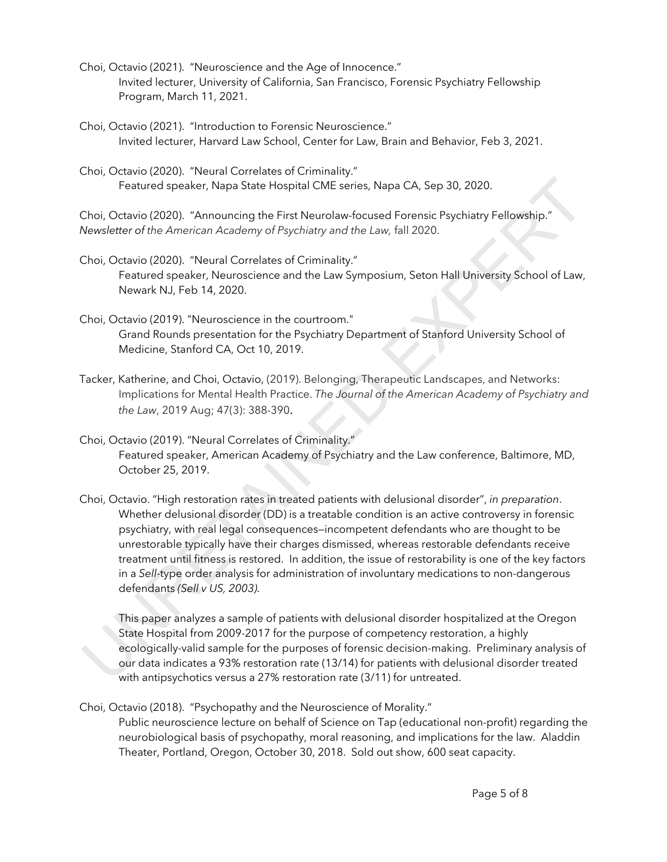- Choi, Octavio (2021). "Neuroscience and the Age of Innocence." Invited lecturer, University of California, San Francisco, Forensic Psychiatry Fellowship Program, March 11, 2021.
- Choi, Octavio (2021). "Introduction to Forensic Neuroscience." Invited lecturer, Harvard Law School, Center for Law, Brain and Behavior, Feb 3, 2021.
- Choi, Octavio (2020). "Neural Correlates of Criminality." Featured speaker, Napa State Hospital CME series, Napa CA, Sep 30, 2020.

Choi, Octavio (2020). "Announcing the First Neurolaw-focused Forensic Psychiatry Fellowship." *Newsletter of the American Academy of Psychiatry and the Law,* fall 2020.

- Choi, Octavio (2020). "Neural Correlates of Criminality." Featured speaker, Neuroscience and the Law Symposium, Seton Hall University School of Law, Newark NJ, Feb 14, 2020.
- Choi, Octavio (2019). "Neuroscience in the courtroom." Grand Rounds presentation for the Psychiatry Department of Stanford University School of Medicine, Stanford CA, Oct 10, 2019.
- Tacker, Katherine, and Choi, Octavio, (2019). Belonging, Therapeutic Landscapes, and Networks: Implications for Mental Health Practice. *The Journal of the American Academy of Psychiatry and the Law*, 2019 Aug; 47(3): 388-390.

Choi, Octavio (2019). "Neural Correlates of Criminality." Featured speaker, American Academy of Psychiatry and the Law conference, Baltimore, MD, October 25, 2019.

Choi, Octavio. "High restoration rates in treated patients with delusional disorder", *in preparation*. Whether delusional disorder (DD) is a treatable condition is an active controversy in forensic psychiatry, with real legal consequences—incompetent defendants who are thought to be unrestorable typically have their charges dismissed, whereas restorable defendants receive treatment until fitness is restored. In addition, the issue of restorability is one of the key factors in a *Sell*-type order analysis for administration of involuntary medications to non-dangerous defendants *(Sell v US, 2003).* Featured speaker, Napa State Hospital CME series, Napa CA, Sep 30, 2020.<br>
Choi, Octavio (2020). "Announcing the First Neurolaw focused Forensic Psychiatry Fellowship."<br>
Wewsletter of the American Academy of Psychiatry and

This paper analyzes a sample of patients with delusional disorder hospitalized at the Oregon State Hospital from 2009-2017 for the purpose of competency restoration, a highly ecologically-valid sample for the purposes of forensic decision-making. Preliminary analysis of our data indicates a 93% restoration rate (13/14) for patients with delusional disorder treated with antipsychotics versus a 27% restoration rate (3/11) for untreated.

Choi, Octavio (2018). "Psychopathy and the Neuroscience of Morality."

Public neuroscience lecture on behalf of Science on Tap (educational non-profit) regarding the neurobiological basis of psychopathy, moral reasoning, and implications for the law. Aladdin Theater, Portland, Oregon, October 30, 2018. Sold out show, 600 seat capacity.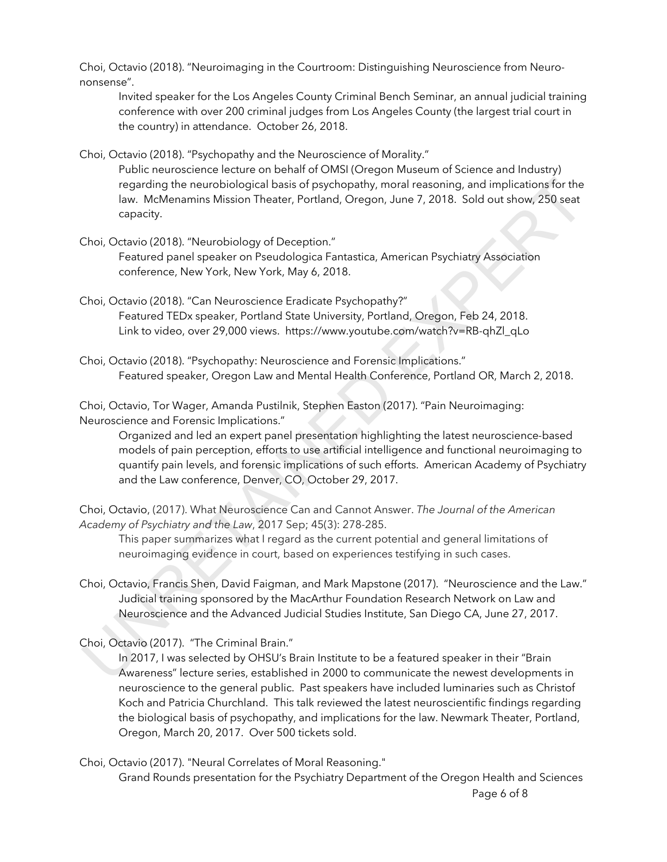Choi, Octavio (2018). "Neuroimaging in the Courtroom: Distinguishing Neuroscience from Neurononsense".

Invited speaker for the Los Angeles County Criminal Bench Seminar, an annual judicial training conference with over 200 criminal judges from Los Angeles County (the largest trial court in the country) in attendance. October 26, 2018.

Choi, Octavio (2018). "Psychopathy and the Neuroscience of Morality."

Public neuroscience lecture on behalf of OMSI (Oregon Museum of Science and Industry) regarding the neurobiological basis of psychopathy, moral reasoning, and implications for the law. McMenamins Mission Theater, Portland, Oregon, June 7, 2018. Sold out show, 250 seat capacity.

Choi, Octavio (2018). "Neurobiology of Deception."

Featured panel speaker on Pseudologica Fantastica, American Psychiatry Association conference, New York, New York, May 6, 2018.

Choi, Octavio (2018). "Can Neuroscience Eradicate Psychopathy?" Featured TEDx speaker, Portland State University, Portland, Oregon, Feb 24, 2018. Link to video, over 29,000 views. https://www.youtube.com/watch?v=RB-qhZl\_qLo

Choi, Octavio (2018). "Psychopathy: Neuroscience and Forensic Implications." Featured speaker, Oregon Law and Mental Health Conference, Portland OR, March 2, 2018.

Choi, Octavio, Tor Wager, Amanda Pustilnik, Stephen Easton (2017). "Pain Neuroimaging: Neuroscience and Forensic Implications."

Organized and led an expert panel presentation highlighting the latest neuroscience-based models of pain perception, efforts to use artificial intelligence and functional neuroimaging to quantify pain levels, and forensic implications of such efforts. American Academy of Psychiatry and the Law conference, Denver, CO, October 29, 2017. regarding the neurobiological basis of psychopathy, moral reasoning, and implications for the layor. MeManamins Mission Theater, Portland, Oregon, June 7, 2018. Sold out show, 250 seat<br>Choi, Octavio (2018). "Neurobiology o

Choi, Octavio, (2017). What Neuroscience Can and Cannot Answer. *The Journal of the American Academy of Psychiatry and the Law*, 2017 Sep; 45(3): 278-285.

This paper summarizes what I regard as the current potential and general limitations of neuroimaging evidence in court, based on experiences testifying in such cases.

Choi, Octavio, Francis Shen, David Faigman, and Mark Mapstone (2017). "Neuroscience and the Law." Judicial training sponsored by the MacArthur Foundation Research Network on Law and Neuroscience and the Advanced Judicial Studies Institute, San Diego CA, June 27, 2017.

Choi, Octavio (2017). "The Criminal Brain."

In 2017, I was selected by OHSU's Brain Institute to be a featured speaker in their "Brain Awareness" lecture series, established in 2000 to communicate the newest developments in neuroscience to the general public. Past speakers have included luminaries such as Christof Koch and Patricia Churchland. This talk reviewed the latest neuroscientific findings regarding the biological basis of psychopathy, and implications for the law. Newmark Theater, Portland, Oregon, March 20, 2017. Over 500 tickets sold.

Choi, Octavio (2017). "Neural Correlates of Moral Reasoning."

Page 6 of 8 Grand Rounds presentation for the Psychiatry Department of the Oregon Health and Sciences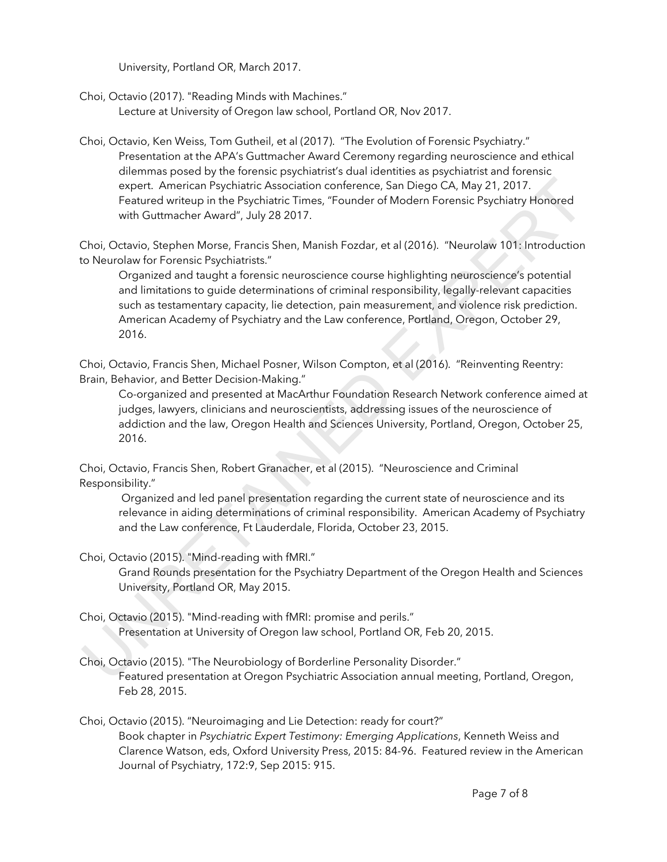University, Portland OR, March 2017.

Choi, Octavio (2017). "Reading Minds with Machines." Lecture at University of Oregon law school, Portland OR, Nov 2017.

Choi, Octavio, Ken Weiss, Tom Gutheil, et al (2017). "The Evolution of Forensic Psychiatry." Presentation at the APA's Guttmacher Award Ceremony regarding neuroscience and ethical dilemmas posed by the forensic psychiatrist's dual identities as psychiatrist and forensic expert. American Psychiatric Association conference, San Diego CA, May 21, 2017. Featured writeup in the Psychiatric Times, "Founder of Modern Forensic Psychiatry Honored with Guttmacher Award", July 28 2017.

Choi, Octavio, Stephen Morse, Francis Shen, Manish Fozdar, et al (2016). "Neurolaw 101: Introduction to Neurolaw for Forensic Psychiatrists."

Organized and taught a forensic neuroscience course highlighting neuroscience's potential and limitations to guide determinations of criminal responsibility, legally-relevant capacities such as testamentary capacity, lie detection, pain measurement, and violence risk prediction. American Academy of Psychiatry and the Law conference, Portland, Oregon, October 29, 2016. extured witetapin the Psychiatric Association conference, San Diego CA, May 21, 2017.<br>
Featured with Gultmacher Award", July 28 2017.<br>
Which Cuttomacher Award", July 28 2017.<br>
Choi, Octavio, Stephen Morse, Francis Shen, Ma

Choi, Octavio, Francis Shen, Michael Posner, Wilson Compton, et al (2016). "Reinventing Reentry: Brain, Behavior, and Better Decision-Making."

Co-organized and presented at MacArthur Foundation Research Network conference aimed at judges, lawyers, clinicians and neuroscientists, addressing issues of the neuroscience of addiction and the law, Oregon Health and Sciences University, Portland, Oregon, October 25, 2016.

Choi, Octavio, Francis Shen, Robert Granacher, et al (2015). "Neuroscience and Criminal Responsibility."

Organized and led panel presentation regarding the current state of neuroscience and its relevance in aiding determinations of criminal responsibility. American Academy of Psychiatry and the Law conference, Ft Lauderdale, Florida, October 23, 2015.

Choi, Octavio (2015). "Mind-reading with fMRI."

Grand Rounds presentation for the Psychiatry Department of the Oregon Health and Sciences University, Portland OR, May 2015.

- Choi, Octavio (2015). "Mind-reading with fMRI: promise and perils." Presentation at University of Oregon law school, Portland OR, Feb 20, 2015.
- Choi, Octavio (2015). "The Neurobiology of Borderline Personality Disorder." Featured presentation at Oregon Psychiatric Association annual meeting, Portland, Oregon, Feb 28, 2015.

Choi, Octavio (2015). "Neuroimaging and Lie Detection: ready for court?" Book chapter in *Psychiatric Expert Testimony: Emerging Applications*, Kenneth Weiss and Clarence Watson, eds, Oxford University Press, 2015: 84-96. Featured review in the American Journal of Psychiatry, 172:9, Sep 2015: 915.